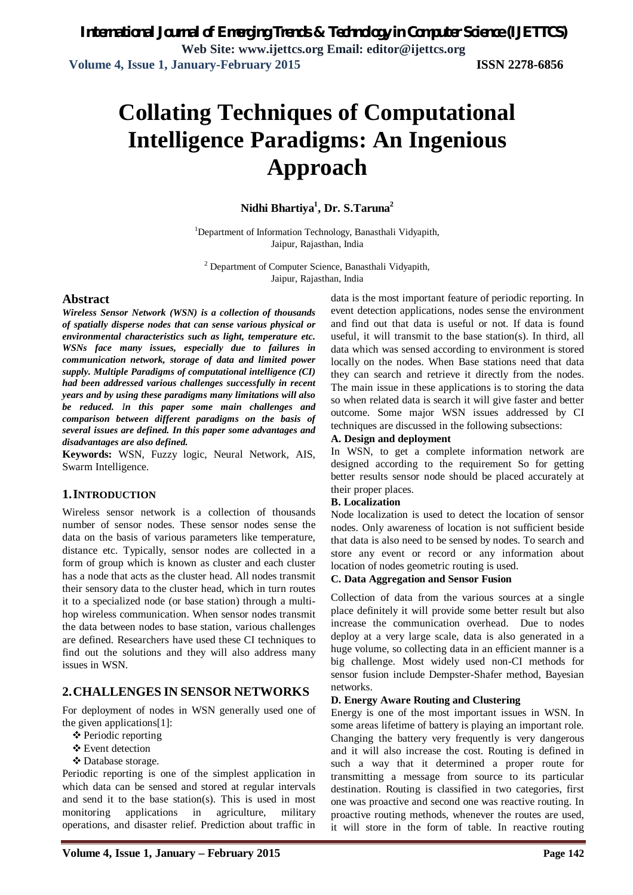# **Collating Techniques of Computational Intelligence Paradigms: An Ingenious Approach**

# **Nidhi Bhartiya<sup>1</sup> , Dr. S.Taruna<sup>2</sup>**

<sup>1</sup>Department of Information Technology, Banasthali Vidyapith, Jaipur, Rajasthan, India

<sup>2</sup> Department of Computer Science, Banasthali Vidyapith, Jaipur, Rajasthan, India

### **Abstract**

*Wireless Sensor Network (WSN) is a collection of thousands of spatially disperse nodes that can sense various physical or environmental characteristics such as light, temperature etc. WSNs face many issues, especially due to failures in communication network, storage of data and limited power supply. Multiple Paradigms of computational intelligence (CI) had been addressed various challenges successfully in recent years and by using these paradigms many limitations will also be reduced. In this paper some main challenges and comparison between different paradigms on the basis of several issues are defined. In this paper some advantages and disadvantages are also defined.*

**Keywords:** WSN, Fuzzy logic, Neural Network, AIS, Swarm Intelligence.

### **1.INTRODUCTION**

Wireless sensor network is a collection of thousands number of sensor nodes. These sensor nodes sense the data on the basis of various parameters like temperature, distance etc. Typically, sensor nodes are collected in a form of group which is known as cluster and each cluster has a node that acts as the cluster head. All nodes transmit their sensory data to the cluster head, which in turn routes it to a specialized node (or base station) through a multihop wireless communication. When sensor nodes transmit the data between nodes to base station, various challenges are defined. Researchers have used these CI techniques to find out the solutions and they will also address many issues in WSN.

# **2.CHALLENGES IN SENSOR NETWORKS**

For deployment of nodes in WSN generally used one of the given applications[1]:

- ❖ Periodic reporting
- Event detection
- Database storage.

Periodic reporting is one of the simplest application in which data can be sensed and stored at regular intervals and send it to the base station(s). This is used in most monitoring applications in agriculture, military operations, and disaster relief. Prediction about traffic in

data is the most important feature of periodic reporting. In event detection applications, nodes sense the environment and find out that data is useful or not. If data is found useful, it will transmit to the base station(s). In third, all data which was sensed according to environment is stored locally on the nodes. When Base stations need that data they can search and retrieve it directly from the nodes. The main issue in these applications is to storing the data so when related data is search it will give faster and better outcome. Some major WSN issues addressed by CI techniques are discussed in the following subsections:

#### **A. Design and deployment**

In WSN, to get a complete information network are designed according to the requirement So for getting better results sensor node should be placed accurately at their proper places.

#### **B. Localization**

Node localization is used to detect the location of sensor nodes. Only awareness of location is not sufficient beside that data is also need to be sensed by nodes. To search and store any event or record or any information about location of nodes geometric routing is used.

#### **C. Data Aggregation and Sensor Fusion**

Collection of data from the various sources at a single place definitely it will provide some better result but also increase the communication overhead. Due to nodes deploy at a very large scale, data is also generated in a huge volume, so collecting data in an efficient manner is a big challenge. Most widely used non-CI methods for sensor fusion include Dempster-Shafer method, Bayesian networks.

#### **D. Energy Aware Routing and Clustering**

Energy is one of the most important issues in WSN. In some areas lifetime of battery is playing an important role. Changing the battery very frequently is very dangerous and it will also increase the cost. Routing is defined in such a way that it determined a proper route for transmitting a message from source to its particular destination. Routing is classified in two categories, first one was proactive and second one was reactive routing. In proactive routing methods, whenever the routes are used, it will store in the form of table. In reactive routing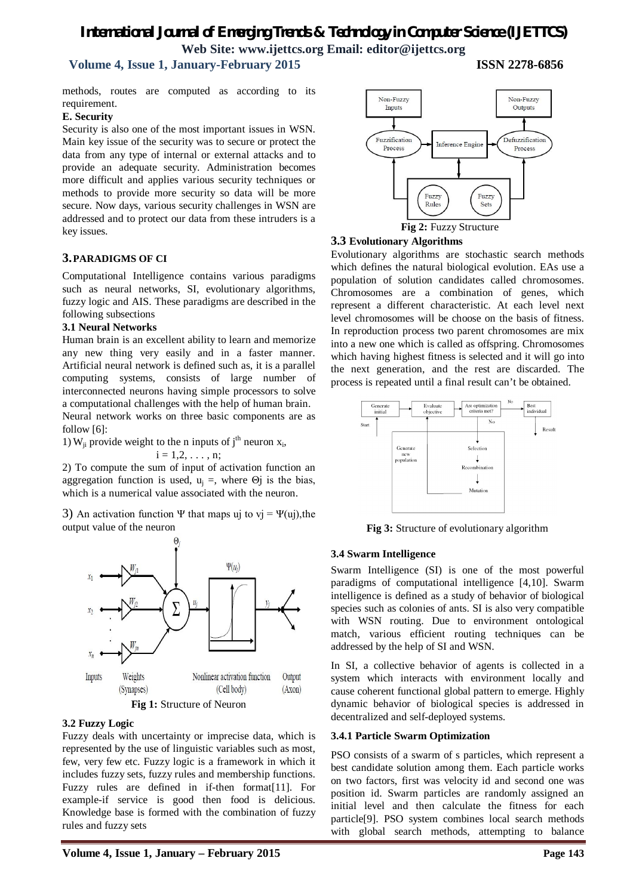# *International Journal of Emerging Trends & Technology in Computer Science (IJETTCS)* **Web Site: www.ijettcs.org Email: editor@ijettcs.org**

# **Volume 4, Issue 1, January-February 2015 ISSN 2278-6856**

methods, routes are computed as according to its requirement.

#### **E. Security**

Security is also one of the most important issues in WSN. Main key issue of the security was to secure or protect the data from any type of internal or external attacks and to provide an adequate security. Administration becomes more difficult and applies various security techniques or methods to provide more security so data will be more secure. Now days, various security challenges in WSN are addressed and to protect our data from these intruders is a key issues.

### **3.PARADIGMS OF CI**

Computational Intelligence contains various paradigms such as neural networks, SI, evolutionary algorithms, fuzzy logic and AIS. These paradigms are described in the following subsections

#### **3.1 Neural Networks**

Human brain is an excellent ability to learn and memorize any new thing very easily and in a faster manner. Artificial neural network is defined such as, it is a parallel computing systems, consists of large number of interconnected neurons having simple processors to solve a computational challenges with the help of human brain. Neural network works on three basic components are as

follow [6]:

1)  $W_{ji}$  provide weight to the n inputs of j<sup>th</sup> neuron  $x_i$ ,

$$
i=1,2,\ldots,n;
$$

2) To compute the sum of input of activation function an aggregation function is used,  $u_i =$ , where  $\Theta$ *j* is the bias, which is a numerical value associated with the neuron.

3) An activation function Ψ that maps uj to vj = Ψ(uj), the output value of the neuron



### **3.2 Fuzzy Logic**

Fuzzy deals with uncertainty or imprecise data, which is represented by the use of linguistic variables such as most, few, very few etc. Fuzzy logic is a framework in which it includes fuzzy sets, fuzzy rules and membership functions. Fuzzy rules are defined in if-then format[11]. For example-if service is good then food is delicious. Knowledge base is formed with the combination of fuzzy rules and fuzzy sets



#### **3.3 Evolutionary Algorithms**

Evolutionary algorithms are stochastic search methods which defines the natural biological evolution. EAs use a population of solution candidates called chromosomes. Chromosomes are a combination of genes, which represent a different characteristic. At each level next level chromosomes will be choose on the basis of fitness. In reproduction process two parent chromosomes are mix into a new one which is called as offspring. Chromosomes which having highest fitness is selected and it will go into the next generation, and the rest are discarded. The process is repeated until a final result can't be obtained.



**Fig 3:** Structure of evolutionary algorithm

### **3.4 Swarm Intelligence**

Swarm Intelligence (SI) is one of the most powerful paradigms of computational intelligence [4,10]. Swarm intelligence is defined as a study of behavior of biological species such as colonies of ants. SI is also very compatible with WSN routing. Due to environment ontological match, various efficient routing techniques can be addressed by the help of SI and WSN.

In SI, a collective behavior of agents is collected in a system which interacts with environment locally and cause coherent functional global pattern to emerge. Highly dynamic behavior of biological species is addressed in decentralized and self-deployed systems.

### **3.4.1 Particle Swarm Optimization**

PSO consists of a swarm of s particles, which represent a best candidate solution among them. Each particle works on two factors, first was velocity id and second one was position id. Swarm particles are randomly assigned an initial level and then calculate the fitness for each particle[9]. PSO system combines local search methods with global search methods, attempting to balance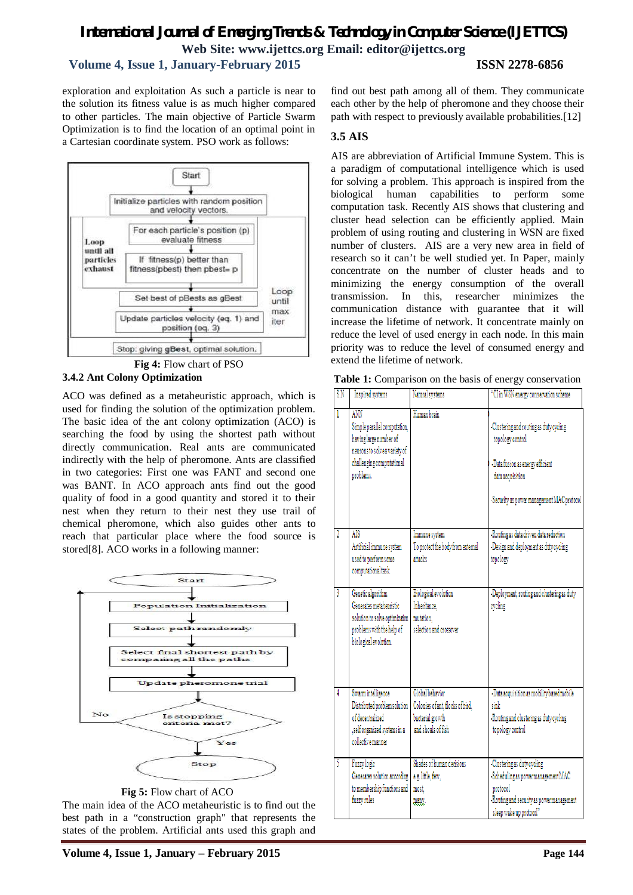# *International Journal of Emerging Trends & Technology in Computer Science (IJETTCS)* **Web Site: www.ijettcs.org Email: editor@ijettcs.org Volume 4, Issue 1, January-February 2015 ISSN 2278-6856**

exploration and exploitation As such a particle is near to the solution its fitness value is as much higher compared to other particles. The main objective of Particle Swarm Optimization is to find the location of an optimal point in a Cartesian coordinate system. PSO work as follows:



**Fig 4:** Flow chart of PSO

# **3.4.2 Ant Colony Optimization**

ACO was defined as a metaheuristic approach, which is used for finding the solution of the optimization problem. The basic idea of the ant colony optimization (ACO) is searching the food by using the shortest path without directly communication. Real ants are communicated indirectly with the help of pheromone. Ants are classified in two categories: First one was FANT and second one was BANT. In ACO approach ants find out the good quality of food in a good quantity and stored it to their nest when they return to their nest they use trail of chemical pheromone, which also guides other ants to reach that particular place where the food source is stored[8]. ACO works in a following manner:



**Fig 5:** Flow chart of ACO

The main idea of the ACO metaheuristic is to find out the best path in a "construction graph" that represents the states of the problem. Artificial ants used this graph and

find out best path among all of them. They communicate each other by the help of pheromone and they choose their path with respect to previously available probabilities.[12]

# **3.5 AIS**

AIS are abbreviation of Artificial Immune System. This is a paradigm of computational intelligence which is used for solving a problem. This approach is inspired from the biological human capabilities to perform some computation task. Recently AIS shows that clustering and cluster head selection can be efficiently applied. Main problem of using routing and clustering in WSN are fixed number of clusters. AIS are a very new area in field of research so it can't be well studied yet. In Paper, mainly concentrate on the number of cluster heads and to minimizing the energy consumption of the overall transmission. In this, researcher minimizes the communication distance with guarantee that it will increase the lifetime of network. It concentrate mainly on reduce the level of used energy in each node. In this main priority was to reduce the level of consumed energy and extend the lifetime of network.

|  |  |  |  | Table 1: Comparison on the basis of energy conservation |
|--|--|--|--|---------------------------------------------------------|
|--|--|--|--|---------------------------------------------------------|

| S.N | Inspired systems                                                                                                                         | Natural systems                                                                               | "CI in WSN energy conservation scheme                                                                                                                             |
|-----|------------------------------------------------------------------------------------------------------------------------------------------|-----------------------------------------------------------------------------------------------|-------------------------------------------------------------------------------------------------------------------------------------------------------------------|
|     | ANN<br>Simple parallel computation,<br>having large number of<br>neurons to solve a variety of<br>challenging computational<br>problems. | Human brain                                                                                   | -Clustering and routing as duty cycling<br>topology control<br>-Data fusion as energy efficient<br>data acquisition<br>-Security as power management MAC protocol |
|     | AIS<br>Artificial immune system<br>used to perform some<br>computational task.                                                           | Immune system<br>To protect the body from external<br>attacks                                 | -Routing as data driven data reduction<br>-Design and deployment as duty cycling<br>topology                                                                      |
| ĵ   | Genetic algorithm<br>Generates metaberristic<br>solution to solve optimization<br>problems with the help of<br>biological evolution.     | <b>Biological</b> evolution<br>Inheritance.<br>mutation.<br>salaction and crossover           | -Deployment, routing and clustering as duty<br>eveling                                                                                                            |
| 4   | Swarm intelligence<br>Distributed problem solution<br>of decentralized<br>, self organized systems in a<br>collective manner             | Global bahavior<br>Colonies of ant, flocks of bird,<br>bacterial growth<br>and shoals of fish | -Data acquisition as mobility based mobile<br>sink<br>-Routing and clustering as duty cycling<br>topology control                                                 |
| 5   | <b>Fuzzy</b> logic<br>Generates solution according<br>to membership functions and<br>fuzzy rules                                         | Shades of human decisions<br>e.g. little, few,<br>most.<br>many.                              | -Clustering as duty cycling<br>-Scheduling as power management MAC<br>protocol<br>-Routing and security as power management<br>sleep wake up protocol"            |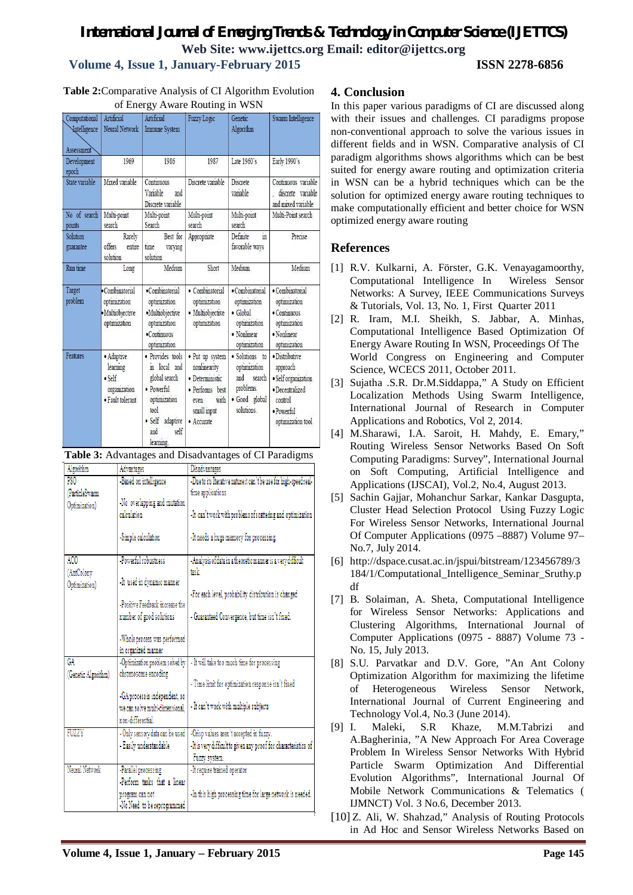# *International Journal of Emerging Trends & Technology in Computer Science (IJETTCS)* **Web Site: www.ijettcs.org Email: editor@ijettcs.org Volume 4, Issue 1, January-February 2015 ISSN 2278-6856**

**Table 2:**Comparative Analysis of CI Algorithm Evolution of Energy Aware Routing in WSN

| Computational<br><b>Intelligence</b><br>Assessment | Artificial<br>Neural Network                                                 | Artificial<br><b>Immune System</b>                                                                                                      | <b>Fuzzy Logic</b>                                                                                                 | Genetic<br>Algorithm                                                                               | Swarm Intelligence                                                                                                 |
|----------------------------------------------------|------------------------------------------------------------------------------|-----------------------------------------------------------------------------------------------------------------------------------------|--------------------------------------------------------------------------------------------------------------------|----------------------------------------------------------------------------------------------------|--------------------------------------------------------------------------------------------------------------------|
| Development<br>epoch                               | 1969                                                                         | 1986                                                                                                                                    | 1987                                                                                                               | Late 1960's                                                                                        | Early 1990's                                                                                                       |
| State variable                                     | Mixed variable                                                               | Continuous<br>Variable<br>and<br>Discrete variable                                                                                      | Discrete variable                                                                                                  | <b>Discrete</b><br>variable                                                                        | Continuous variable<br>discrete variable<br>and mixed variable                                                     |
| No of search<br>points                             | Multi-point<br>search                                                        | Multi-point<br>Search                                                                                                                   | Multi-point<br>search                                                                                              | Multi-point<br>search                                                                              | Multi-Point search                                                                                                 |
| Solution<br>guarantee                              | Rarely<br>offers<br>entire<br>solution                                       | Best for<br>time<br>varying<br>solution                                                                                                 | Appropriate                                                                                                        | $\frac{1}{10}$<br>Definite<br>favorable ways                                                       | Precise                                                                                                            |
| Run time                                           | Long                                                                         | Medium                                                                                                                                  | Short                                                                                                              | Medium                                                                                             | Medium                                                                                                             |
| Target<br>problem                                  | · Combinatorial<br>optimization<br>· Multiobjective<br>optimization          | ·Combinatorial<br>optimization<br>·Multiobjective<br>optimization<br>·Continuous<br>optimization                                        | • Combinatorial<br>optimization<br>· Multiobjective<br>optimization                                                | · Combinatorial<br>optimization<br>$\bullet$ Global<br>optimization<br>• Nonlinear<br>optimization | · Combinatorial<br>optimization<br>· Continuous<br>optimization<br>· Nonlinear<br>optimization                     |
| Features                                           | · Adaptive<br>learning<br>$\bullet$ Self<br>organization<br>· Fault tolerant | · Provides tools<br>in local and<br>global search<br>· Powerful<br>optimization<br>tool<br>· Self<br>adaptive<br>self<br>and<br>lancina | • Put up system<br>nonlinearity<br>· Deterministic<br>· Performs best<br>with<br>even<br>small input<br>· Accurate | · Solutions to<br>optimization<br>and<br>search<br>problems.<br>· Good global<br>solutions         | · Distributive<br>approach<br>· Self organization<br>· Decentralized<br>control<br>· Powerful<br>optimization tool |



| Algorithm                                          | Advantages                                                                                                                                                               | Disadvantages                                                                                                                                                                                    |
|----------------------------------------------------|--------------------------------------------------------------------------------------------------------------------------------------------------------------------------|--------------------------------------------------------------------------------------------------------------------------------------------------------------------------------------------------|
| PSO <sub></sub><br>(ParticleSwarm<br>Optimization) | -Based on intelligence<br>-No overlapping and mutation<br>calculation<br>-Simple calculation                                                                             | -Due to its Iterative nature it can't be use for high-speed real-<br>time applications<br>-It can't work with problems of scattering and optimization<br>-It needs a huge memory for processing. |
| ACO<br>(AntColony<br>Optimization)                 | -Powerful robustness<br>-It used in dynamic manner<br>-Positive Feedback increase the<br>number of good solutions<br>-Whole process was performed<br>in organized manner | -Analysis of data in a theoretic manner is a very difficult<br>task.<br>-For each level, probability distribution is changed<br>- Guaranteed Convergence, but time isn't fixed.                  |
| GΑ<br>(Genetic Algorithm)                          | -Optimization problem solved by<br>chromosome encoding<br>-GA process is independent, so<br>we can solve multi-dimensional.<br>non-differential                          | - It will take too much time for processing<br>- Time limit for optimization response isn't fixed<br>- It can't work with multiple subjects                                                      |
| FUZZY                                              | - Only sensory data can be used<br>- Easily understandable                                                                                                               | -Crisp values aren't accepted in fuzzy.<br>-It is very difficult to given any proof for characteristics of<br>Fuzzy system.                                                                      |
| Neural Network                                     | Parallel processing<br>-Perform tasks that a linear<br>program can not<br>-No Need to be reprogrammed                                                                    | -It require trained operator<br>-In this high processing time for large network is needed.                                                                                                       |

# **4. Conclusion**

In this paper various paradigms of CI are discussed along with their issues and challenges. CI paradigms propose non-conventional approach to solve the various issues in different fields and in WSN. Comparative analysis of CI paradigm algorithms shows algorithms which can be best suited for energy aware routing and optimization criteria in WSN can be a hybrid techniques which can be the solution for optimized energy aware routing techniques to make computationally efficient and better choice for WSN optimized energy aware routing

# **References**

- [1] R.V. Kulkarni, A. Förster, G.K. Venayagamoorthy, Computational Intelligence In Wireless Sensor Networks: A Survey, IEEE Communications Surveys & Tutorials, Vol. 13, No. 1, First Quarter 2011
- [2] R. Iram, M.I. Sheikh, S. Jabbar, A. Minhas, Computational Intelligence Based Optimization Of Energy Aware Routing In WSN, Proceedings Of The World Congress on Engineering and Computer Science, WCECS 2011, October 2011.
- [3] Sujatha .S.R. Dr.M.Siddappa," A Study on Efficient Localization Methods Using Swarm Intelligence, International Journal of Research in Computer Applications and Robotics, Vol 2, 2014.
- [4] M.Sharawi, I.A. Saroit, H. Mahdy, E. Emary," Routing Wireless Sensor Networks Based On Soft Computing Paradigms: Survey", International Journal on Soft Computing, Artificial Intelligence and Applications (IJSCAI), Vol.2, No.4, August 2013.
- [5] Sachin Gajjar, Mohanchur Sarkar, Kankar Dasgupta, Cluster Head Selection Protocol Using Fuzzy Logic For Wireless Sensor Networks, International Journal Of Computer Applications (0975 –8887) Volume 97– No.7, July 2014.
- [6] http://dspace.cusat.ac.in/jspui/bitstream/123456789/3 184/1/Computational\_Intelligence\_Seminar\_Sruthy.p df
- [7] B. Solaiman, A. Sheta, Computational Intelligence for Wireless Sensor Networks: Applications and Clustering Algorithms, International Journal of Computer Applications (0975 - 8887) Volume 73 - No. 15, July 2013.
- [8] S.U. Parvatkar and D.V. Gore, "An Ant Colony Optimization Algorithm for maximizing the lifetime of Heterogeneous Wireless Sensor Network, International Journal of Current Engineering and Technology Vol.4, No.3 (June 2014).
- [9] I. Maleki, S.R Khaze, M.M.Tabrizi and A.Bagherinia, "A New Approach For Area Coverage Problem In Wireless Sensor Networks With Hybrid Particle Swarm Optimization And Differential Evolution Algorithms", International Journal Of Mobile Network Communications & Telematics ( IJMNCT) Vol. 3 No.6, December 2013.
- [10] Z. Ali, W. Shahzad," Analysis of Routing Protocols in Ad Hoc and Sensor Wireless Networks Based on